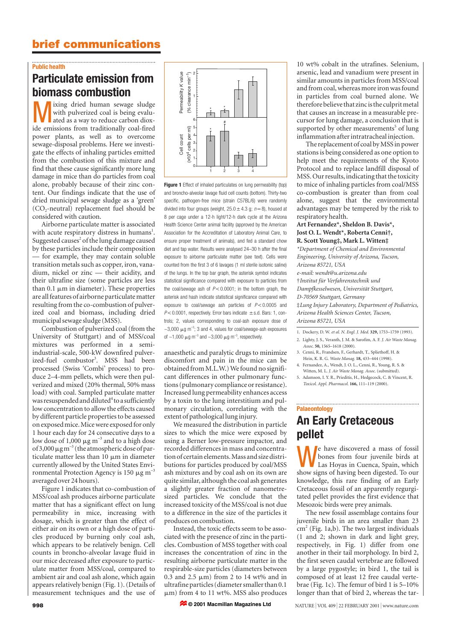## **brief communications**

### **Public health**

# **Particulate emission from biomass combustion**

ixing dried human sewage sludge with pulverized coal is being evaluated as a way to reduce carbon dioxide emissions from traditionally coal-fired power plants, as well as to overcome sewage-disposal problems. Here we investigate the effects of inhaling particles emitted from the combustion of this mixture and find that these cause significantly more lung damage in mice than do particles from coal alone, probably because of their zinc content. Our findings indicate that the use of dried municipal sewage sludge as a 'green'  $(CO<sub>2</sub>-neutral)$  replacement fuel should be considered with caution.

Airborne particulate matter is associated with acute respiratory distress in humans<sup>1</sup>. Suggested causes $2$  of the lung damage caused by these particles include their composition — for example, they may contain soluble transition metals such as copper, iron, vanadium, nickel or zinc — their acidity, and their ultrafine size (some particles are less than 0.1  $\mu$ m in diameter). These properties are all features of airborne particulate matter resulting from the co-combustion of pulverized coal and biomass, including dried municipal sewage sludge (MSS).

Combustion of pulverized coal (from the University of Stuttgart) and of MSS/coal mixtures was performed in a semiindustrial-scale, 500-kW downfired pulverized-fuel combustor<sup>3</sup>. MSS had been processed (Swiss 'Combi' process) to produce 2–4-mm pellets, which were then pulverized and mixed (20% thermal, 50% mass load) with coal. Sampled particulate matter was resuspended and diluted ${}^4$  to a sufficiently low concentration to allow the effects caused by different particle properties to be assessed on exposed mice. Mice were exposed for only 1 hour each day for 24 consecutive days to a low dose of 1,000  $\mu$ g m<sup>-3</sup> and to a high dose of 3,000  $\mu$ g m<sup>-3</sup> (the atmospheric dose of particulate matter less than  $10 \mu m$  in diameter currently allowed by the United States Environmental Protection Agency is 150  $\mu$ g m<sup>-3</sup> averaged over 24 hours).

Figure 1 indicates that co-combustion of MSS/coal ash produces airborne particulate matter that has a significant effect on lung permeability in mice, increasing with dosage, which is greater than the effect of either air on its own or a high dose of particles produced by burning only coal ash, which appears to be relatively benign. Cell counts in broncho-alveolar lavage fluid in our mice decreased after exposure to particulate matter from MSS/coal, compared to ambient air and coal ash alone, which again appears relatively benign (Fig. 1). (Details of measurement techniques and the use of



**Figure 1** Effect of inhaled particulates on lung permeability (top) and broncho-alveolar lavage fluid cell counts (bottom). Thirty-two specific, pathogen-free mice (strain C57BL/6) were randomly divided into four groups (weight,  $25.0 \pm 4.3$  g;  $n=8$ ), housed at 8 per cage under a 12-h light/12-h dark cycle at the Arizona Health Science Center animal facility (approved by the American Association for the Accreditation of Laboratory Animal Care, to ensure proper treatment of animals), and fed a standard chow diet and tap water. Results were analysed 24–30 h after the final exposure to airborne particulate matter (see text). Cells were counted from the first 3 of 6 lavages (1 ml sterile isotonic saline) of the lungs. In the top bar graph, the asterisk symbol indicates statistical significance compared with exposure to particles from the coal/sewage ash of  $P < 0.0001$ ; in the bottom graph, the asterisk and hash indicate statistical significance compared with exposure to coal/sewage ash particles of  $P < 0.0005$  and  $P$  < 0.0001, respectively. Error bars indicate  $\pm$  s.d. Bars: 1, controls; 2, values corresponding to coal-ash exposure dose of  $\sim$ 3,000  $\mu$ g m<sup>-3</sup>; 3 and 4, values for coal/sewage-ash exposures of  $\sim$ 1,000  $\mu$ g m<sup>-3</sup> and  $\sim$ 3,000  $\mu$ g m<sup>-3</sup>, respectively.

anaesthetic and paralytic drugs to minimize discomfort and pain in the mice can be obtained from M.L.W.) We found no significant differences in other pulmonary functions (pulmonary compliance or resistance). Increased lung permeability enhances access by a toxin to the lung interstitium and pulmonary circulation, correlating with the extent of pathological lung injury.

We measured the distribution in particle sizes to which the mice were exposed by using a Berner low-pressure impactor, and recorded differences in mass and concentration of certain elements. Mass and size distributions for particles produced by coal/MSS ash mixtures and by coal ash on its own are quite similar, although the coal ash generates a slightly greater fraction of nanometresized particles. We conclude that the increased toxicity of the MSS/coal is not due to a difference in the size of the particles it produces on combustion.

Instead, the toxic effects seem to be associated with the presence of zinc in the particles. Combustion of MSS together with coal increases the concentration of zinc in the resulting airborne particulate matter in the respirable-size particles (diameters between 0.3 and 2.5  $\mu$ m) from 2 to 14 wt% and in ultrafine particles (diameter smaller than 0.1  $\mu$ m) from 4 to 11 wt%. MSS also produces

**© 2001 Macmillan Magazines Ltd**

10 wt% cobalt in the utrafines. Selenium, arsenic, lead and vanadium were present in similar amounts in particles from MSS/coal and from coal, whereas more iron was found in particles from coal burned alone. We therefore believe that zinc is the culprit metal that causes an increase in a measurable precursor for lung damage, a conclusion that is supported by other measurements<sup>5</sup> of lung inflammation after intratracheal injection.

The replacement of coal by MSS in power stations is being considered as one option to help meet the requirements of the Kyoto Protocol and to replace landfill disposal of MSS. Our results, indicating that the toxicity to mice of inhaling particles from coal/MSS co-combustion is greater than from coal alone, suggest that the environmental advantages may be tempered by the risk to respiratory health.

#### **Art Fernandez\*, Sheldon B. Davis\*, Jost O. L. Wendt\*, Roberta Cenni†, R. Scott Young‡, Mark L. Witten‡**

*\*Department of Chemical and Environmental Engineering, University of Arizona, Tucson, Arizona 85721, USA e-mail: wendt@u.arizona.edu* †*Institut für Verfahrenstechnik und Dampfkesselwesen, Universität Stuttgart, D-70569 Stuttgart, Germany* ‡*Lung Injury Laboratory, Department of Pediatrics, Arizona Health Sciences Center, Tucson, Arizona 85721, USA* 1. Dockery, D. W. *et al. N. Engl. J. Med.* **329,** 1753–1759 (1993).

- 2. Lighty, J. S., Veranth, J. M. & Sarofim, A. F. *J. Air Waste Manag. Assoc.* **50,** 1565–1618 (2000).
- 3. Cenni, R., Frandsen, F., Gerhardt, T., Spliethoff, H. & Hein, K. R. G. *Waste Manag.* **18,** 433–444 (1998). 4. Fernandez, A., Wendt, J. O. L., Cenni, R., Young, R. S. &
- Witten, M. L. *J. Air Waste Manag. Assoc.* (submitted).
- 5. Adamson, I. Y. R., Prieditis, H., Hedgecock, C. & Vincent, R. *Toxicol. Appl. Pharmacol.* **166,** 111–119 (2000).

#### **Palaeontology**

# **An Early Cretaceous pellet**

We have discovered a mass of fossil bones from four juvenile birds at Las Hoyas in Cuenca, Spain, which show signs of having been digested. To our knowledge, this rare finding of an Early Cretaceous fossil of an apparently regurgitated pellet provides the first evidence that Mesozoic birds were prey animals.

The new fossil assemblage contains four juvenile birds in an area smaller than 23  $cm<sup>2</sup>$  (Fig. 1a,b). The two largest individuals (1 and 2; shown in dark and light grey, respectively, in Fig. 1) differ from one another in their tail morphology. In bird 2, the first seven caudal vertebrae are followed by a large pygostyle; in bird 1, the tail is composed of at least 12 free caudal vertebrae (Fig. 1c). The femur of bird 1 is 5–10% longer than that of bird 2, whereas the tar-